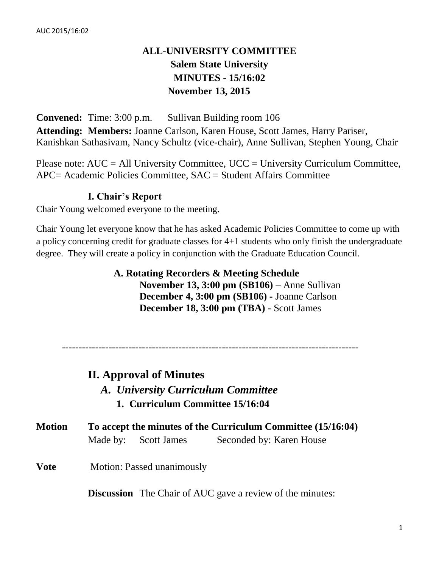# **ALL-UNIVERSITY COMMITTEE Salem State University MINUTES - 15/16:02 November 13, 2015**

**Convened:** Time: 3:00 p.m. Sullivan Building room 106 **Attending: Members:** Joanne Carlson, Karen House, Scott James, Harry Pariser, Kanishkan Sathasivam, Nancy Schultz (vice-chair), Anne Sullivan, Stephen Young, Chair

Please note:  $AUC = All University Committee$ ,  $UCC = University Curricular Computer$ , APC= Academic Policies Committee, SAC = Student Affairs Committee

### **I. Chair's Report**

Chair Young welcomed everyone to the meeting.

Chair Young let everyone know that he has asked Academic Policies Committee to come up with a policy concerning credit for graduate classes for 4+1 students who only finish the undergraduate degree. They will create a policy in conjunction with the Graduate Education Council.

> **A. Rotating Recorders & Meeting Schedule November 13, 3:00 pm (SB106) –** Anne Sullivan **December 4, 3:00 pm (SB106) -** Joanne Carlson **December 18, 3:00 pm (TBA) -** Scott James

-----------------------------------------------------------------------------------------

# **II. Approval of Minutes**

- *A. University Curriculum Committee*
	- **1. Curriculum Committee 15/16:04**

| <b>Motion</b> | To accept the minutes of the Curriculum Committee (15/16:04) |                      |                          |  |  |
|---------------|--------------------------------------------------------------|----------------------|--------------------------|--|--|
|               |                                                              | Made by: Scott James | Seconded by: Karen House |  |  |

**Vote** Motion: Passed unanimously

**Discussion** The Chair of AUC gave a review of the minutes: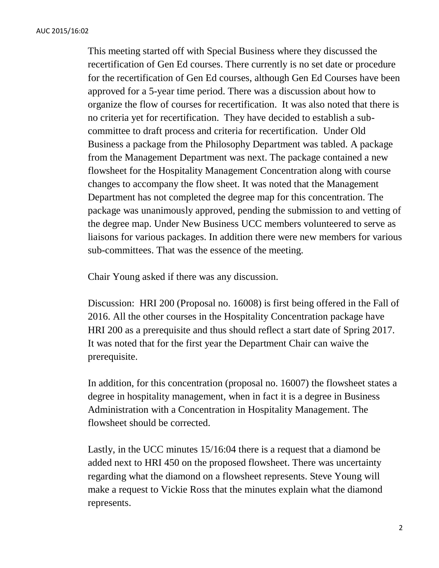This meeting started off with Special Business where they discussed the recertification of Gen Ed courses. There currently is no set date or procedure for the recertification of Gen Ed courses, although Gen Ed Courses have been approved for a 5-year time period. There was a discussion about how to organize the flow of courses for recertification. It was also noted that there is no criteria yet for recertification. They have decided to establish a subcommittee to draft process and criteria for recertification. Under Old Business a package from the Philosophy Department was tabled. A package from the Management Department was next. The package contained a new flowsheet for the Hospitality Management Concentration along with course changes to accompany the flow sheet. It was noted that the Management Department has not completed the degree map for this concentration. The package was unanimously approved, pending the submission to and vetting of the degree map. Under New Business UCC members volunteered to serve as liaisons for various packages. In addition there were new members for various sub-committees. That was the essence of the meeting.

Chair Young asked if there was any discussion.

Discussion: HRI 200 (Proposal no. 16008) is first being offered in the Fall of 2016. All the other courses in the Hospitality Concentration package have HRI 200 as a prerequisite and thus should reflect a start date of Spring 2017. It was noted that for the first year the Department Chair can waive the prerequisite.

In addition, for this concentration (proposal no. 16007) the flowsheet states a degree in hospitality management, when in fact it is a degree in Business Administration with a Concentration in Hospitality Management. The flowsheet should be corrected.

Lastly, in the UCC minutes 15/16:04 there is a request that a diamond be added next to HRI 450 on the proposed flowsheet. There was uncertainty regarding what the diamond on a flowsheet represents. Steve Young will make a request to Vickie Ross that the minutes explain what the diamond represents.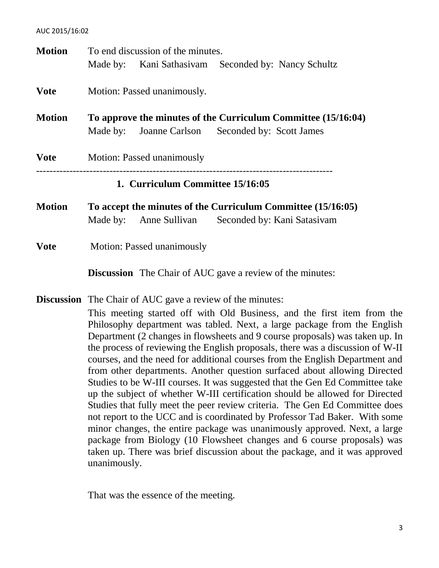| <b>Motion</b>                                                                | To end discussion of the minutes.                                                                                                                              |  |  |  |  |
|------------------------------------------------------------------------------|----------------------------------------------------------------------------------------------------------------------------------------------------------------|--|--|--|--|
|                                                                              | Made by: Kani Sathasivam Seconded by: Nancy Schultz                                                                                                            |  |  |  |  |
| <b>Vote</b>                                                                  | Motion: Passed unanimously.                                                                                                                                    |  |  |  |  |
| <b>Motion</b>                                                                | To approve the minutes of the Curriculum Committee (15/16:04)                                                                                                  |  |  |  |  |
|                                                                              | Made by: Joanne Carlson Seconded by: Scott James                                                                                                               |  |  |  |  |
| <b>Vote</b>                                                                  | <b>Motion: Passed unanimously</b>                                                                                                                              |  |  |  |  |
|                                                                              | 1. Curriculum Committee 15/16:05                                                                                                                               |  |  |  |  |
| <b>Motion</b>                                                                | To accept the minutes of the Curriculum Committee (15/16:05)                                                                                                   |  |  |  |  |
|                                                                              | Seconded by: Kani Satasivam<br>Made by: Anne Sullivan                                                                                                          |  |  |  |  |
| <b>Vote</b>                                                                  | Motion: Passed unanimously                                                                                                                                     |  |  |  |  |
|                                                                              | <b>Discussion</b> The Chair of AUC gave a review of the minutes:                                                                                               |  |  |  |  |
|                                                                              | <b>Discussion</b> The Chair of AUC gave a review of the minutes:                                                                                               |  |  |  |  |
|                                                                              | This meeting started off with Old Business, and the first item from the                                                                                        |  |  |  |  |
|                                                                              | Philosophy department was tabled. Next, a large package from the English                                                                                       |  |  |  |  |
|                                                                              | Department (2 changes in flowsheets and 9 course proposals) was taken up. In<br>the process of reviewing the English proposals, there was a discussion of W-II |  |  |  |  |
| courses, and the need for additional courses from the English Department and |                                                                                                                                                                |  |  |  |  |
|                                                                              | from other departments. Another question surfaced about allowing Directed<br>Studies to be W-III courses. It was suggested that the Gen Ed Committee take      |  |  |  |  |
|                                                                              |                                                                                                                                                                |  |  |  |  |
|                                                                              | up the subject of whether W-III certification should be allowed for Directed<br>Studies that fully meet the peer review criteria. The Gen Ed Committee does    |  |  |  |  |
|                                                                              | not report to the UCC and is coordinated by Professor Tad Baker. With some                                                                                     |  |  |  |  |
|                                                                              | minor changes, the entire package was unanimously approved. Next, a large                                                                                      |  |  |  |  |
|                                                                              | package from Biology (10 Flowsheet changes and 6 course proposals) was                                                                                         |  |  |  |  |

taken up. There was brief discussion about the package, and it was approved unanimously.

That was the essence of the meeting.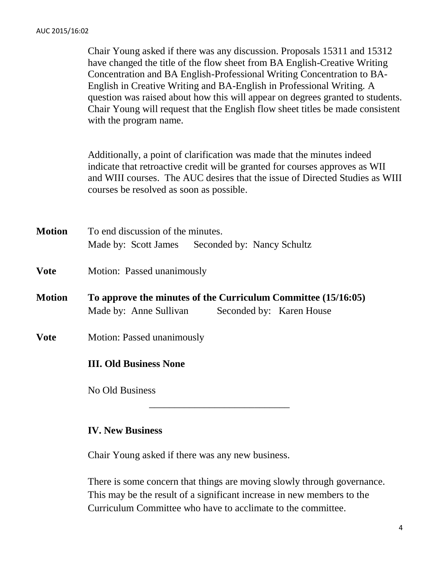Chair Young asked if there was any discussion. Proposals 15311 and 15312 have changed the title of the flow sheet from BA English-Creative Writing Concentration and BA English-Professional Writing Concentration to BA-English in Creative Writing and BA-English in Professional Writing. A question was raised about how this will appear on degrees granted to students. Chair Young will request that the English flow sheet titles be made consistent with the program name.

Additionally, a point of clarification was made that the minutes indeed indicate that retroactive credit will be granted for courses approves as WII and WIII courses. The AUC desires that the issue of Directed Studies as WIII courses be resolved as soon as possible.

**Motion** To end discussion of the minutes. Made by: Scott James Seconded by: Nancy Schultz

- **Vote** Motion: Passed unanimously
- **Motion To approve the minutes of the Curriculum Committee (15/16:05)** Made by: Anne Sullivan Seconded by: Karen House
- **Vote** Motion: Passed unanimously

#### **III. Old Business None**

No Old Business

#### **IV. New Business**

Chair Young asked if there was any new business.

There is some concern that things are moving slowly through governance. This may be the result of a significant increase in new members to the Curriculum Committee who have to acclimate to the committee.

\_\_\_\_\_\_\_\_\_\_\_\_\_\_\_\_\_\_\_\_\_\_\_\_\_\_\_\_